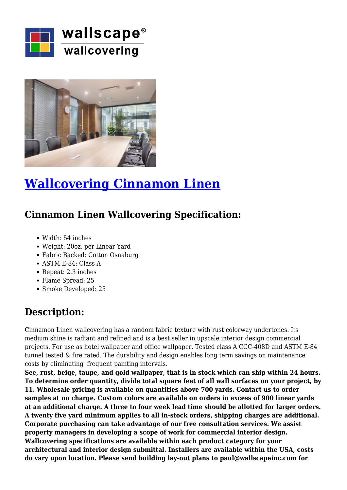



## **[Wallcovering Cinnamon Linen](https://wallscapeinc.com/wallcovering/wallcovering-cinnamon-linen/)**

## **Cinnamon Linen Wallcovering Specification:**

- Width: 54 inches
- Weight: 20oz. per Linear Yard
- Fabric Backed: Cotton Osnaburg
- ASTM E-84: Class A
- Repeat: 2.3 inches
- Flame Spread: 25
- Smoke Developed: 25

## **Description:**

Cinnamon Linen wallcovering has a random fabric texture with rust colorway undertones. Its medium shine is radiant and refined and is a best seller in upscale interior design commercial projects. For use as hotel wallpaper and office wallpaper. Tested class A CCC-408D and ASTM E-84 tunnel tested & fire rated. The durability and design enables long term savings on maintenance costs by eliminating frequent painting intervals.

**See, rust, beige, taupe, and gold wallpaper, that is in stock which can ship within 24 hours. To determine order quantity, divide total square feet of all wall surfaces on your project, by 11. Wholesale pricing is available on quantities above 700 yards. Contact us to order samples at no charge. Custom colors are available on orders in excess of 900 linear yards at an additional charge. A three to four week lead time should be allotted for larger orders. A twenty five yard minimum applies to all in-stock orders, shipping charges are additional. Corporate purchasing can take advantage of our free consultation services. We assist property managers in developing a scope of work for commercial interior design. Wallcovering specifications are available within each product category for your architectural and interior design submittal. Installers are available within the USA, costs do vary upon location. Please send building lay-out plans to paul@wallscapeinc.com for**